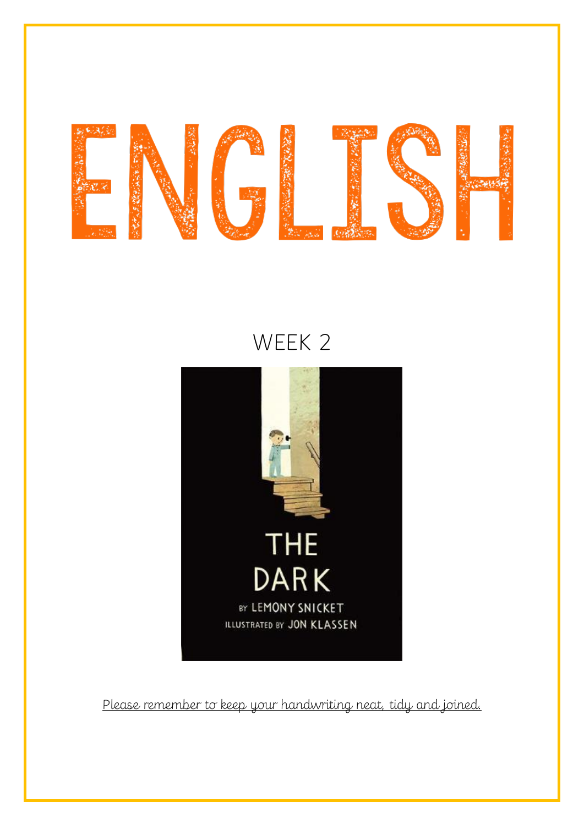

# WEEK 2



Please remember to keep your handwriting neat, tidy and joined.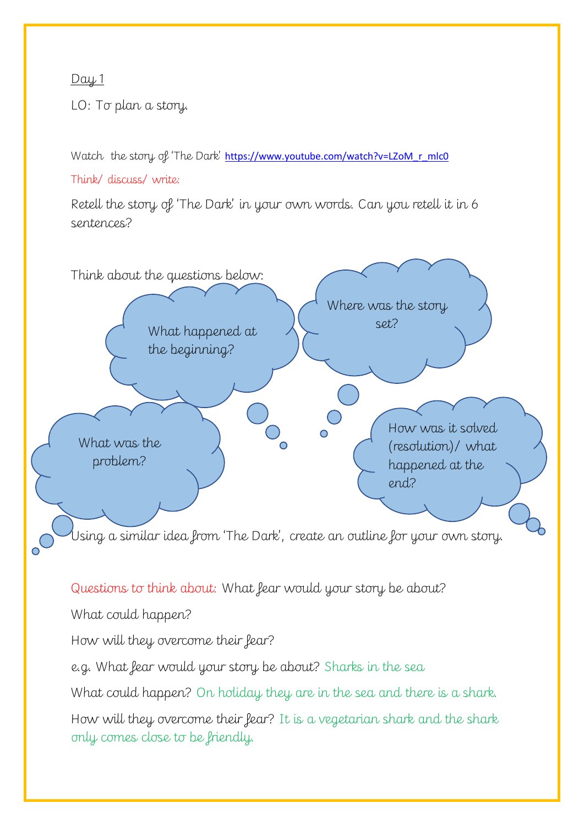## Day 1

LO: To plan a story.

Watch the story of 'The Dark' [https://www.youtube.com/watch?v=LZoM\\_r\\_mlc0](https://www.youtube.com/watch?v=LZoM_r_mlc0)

Think/ discuss/ write:

Retell the story of 'The Dark' in your own words. Can you retell it in 6 sentences?



Questions to think about: What fear would your story be about?

What could happen?

How will they overcome their fear?

e.g. What fear would your story be about? Sharks in the sea

What could happen? On holiday they are in the sea and there is a shark.

How will they overcome their fear? It is a vegetarian shark and the shark only comes close to be friendly.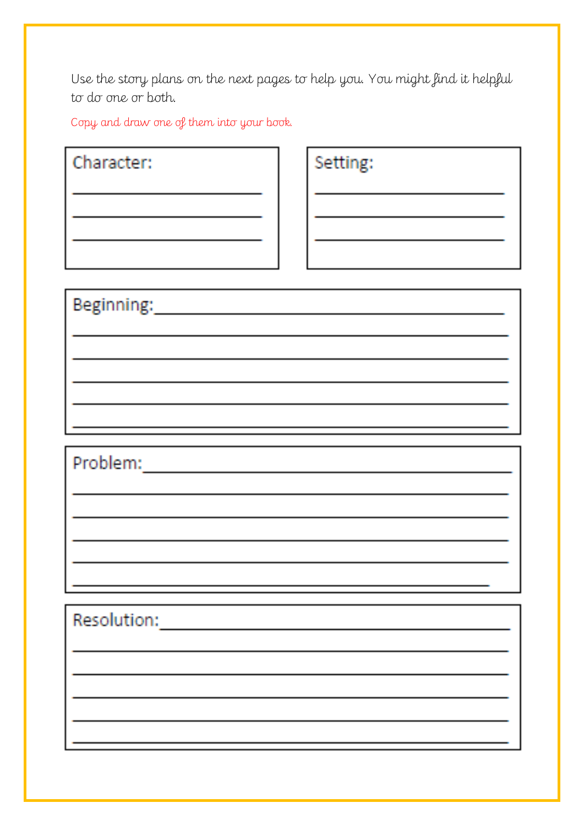Use the story plans on the next pages to help you. You might find it helpful to do one or both.

Copy and draw one of them into your book.

Character:

Setting:

Resolution: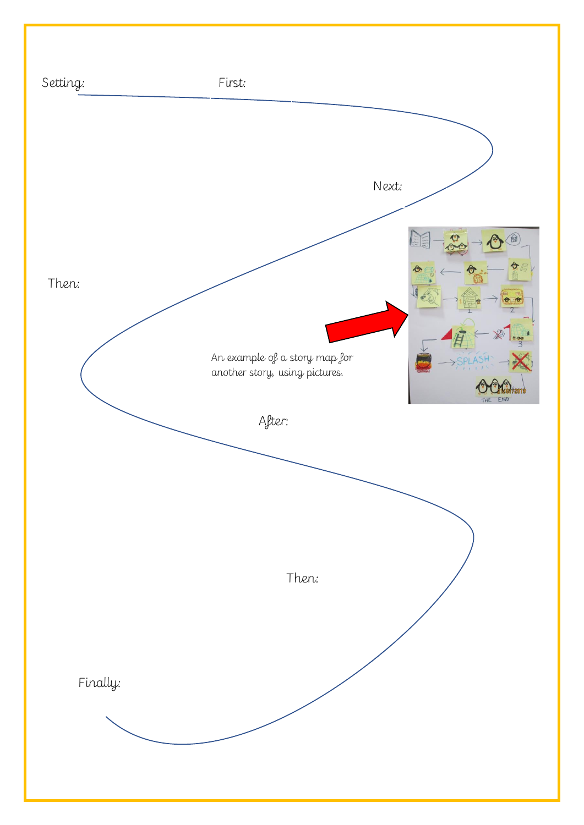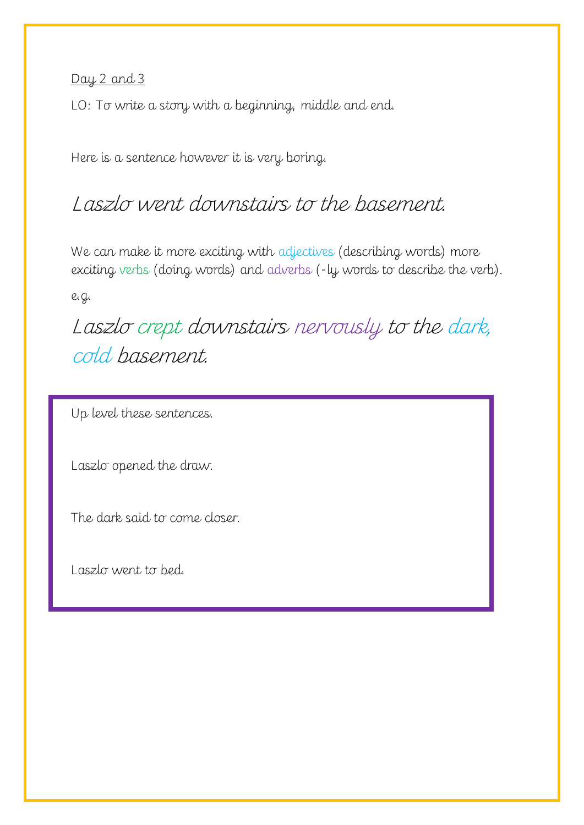Day 2 and 3

LO: To write a story with a beginning, middle and end.

Here is a sentence however it is very boring.

## Laszlo went downstairs to the basement.

We can make it more exciting with adjectives (describing words) more exciting verbs (doing words) and adverbs (-ly words to describe the verb).

e.g.

Laszlo crept downstairs nervously to the dark, cold basement.

Up level these sentences.

Laszlo opened the draw.

The dark said to come closer.

Laszlo went to bed.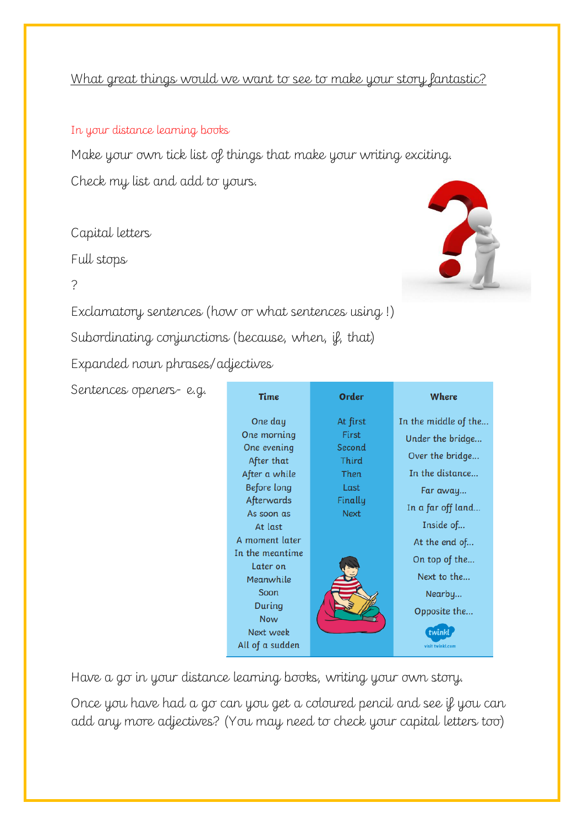## What great things would we want to see to make your story fantastic?

#### In your distance learning books

Make your own tick list of things that make your writing exciting. Check my list and add to yours.

### Capital letters

Full stops

?

Exclamatory sentences (how or what sentences using !)

Subordinating conjunctions (because, when, if, that)

Expanded noun phrases/adjectives

Sentences openers- e.g.

| <b>Time</b>     | Order        | Where                |
|-----------------|--------------|----------------------|
| One day         | At first     | In the middle of the |
| One morning     | <b>First</b> | Under the bridge     |
| One evening     | Second       |                      |
| After that      | Third        | Over the bridge      |
| After a while   | Then         | In the distance      |
| Before long     | Last         | Far away             |
| Afterwards      | Finally      |                      |
| As soon as      | <b>Next</b>  | In a far off land    |
| At last         |              | Inside of            |
| A moment later  |              | At the end of        |
| In the meantime |              | On top of the        |
| Later on        |              |                      |
| Meanwhile       |              | Next to the          |
| Soon            |              | Nearby               |
| During          |              | Opposite the         |
| <b>Now</b>      |              |                      |
| Next week       |              | twinkl               |
| All of a sudden |              | visit twinkl.com     |

Have a go in your distance learning books, writing your own story.

Once you have had a go can you get a coloured pencil and see if you can add any more adjectives? (You may need to check your capital letters too)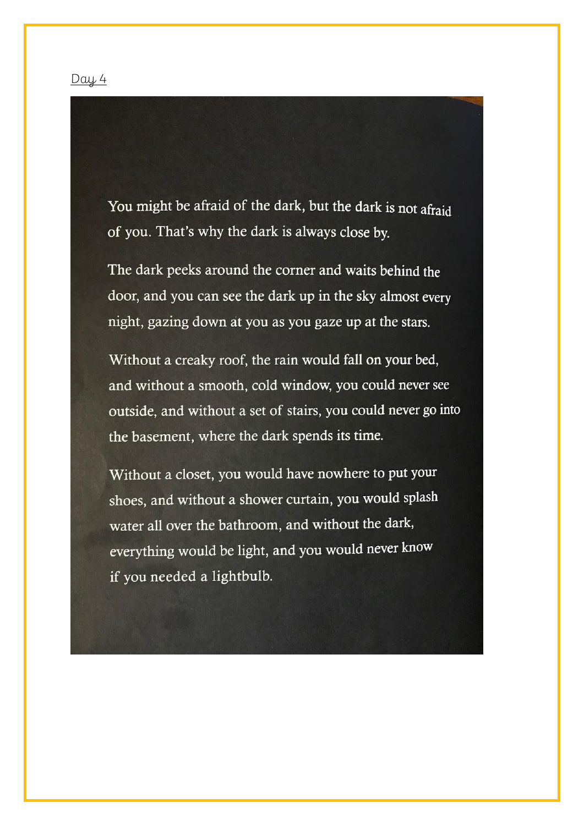#### $Day 4$

You might be afraid of the dark, but the dark is not afraid of you. That's why the dark is always close by.

The dark peeks around the corner and waits behind the door, and you can see the dark up in the sky almost every night, gazing down at you as you gaze up at the stars.

Without a creaky roof, the rain would fall on your bed, and without a smooth, cold window, you could never see outside, and without a set of stairs, you could never go into the basement, where the dark spends its time.

Without a closet, you would have nowhere to put your shoes, and without a shower curtain, you would splash water all over the bathroom, and without the dark, everything would be light, and you would never know if you needed a lightbulb.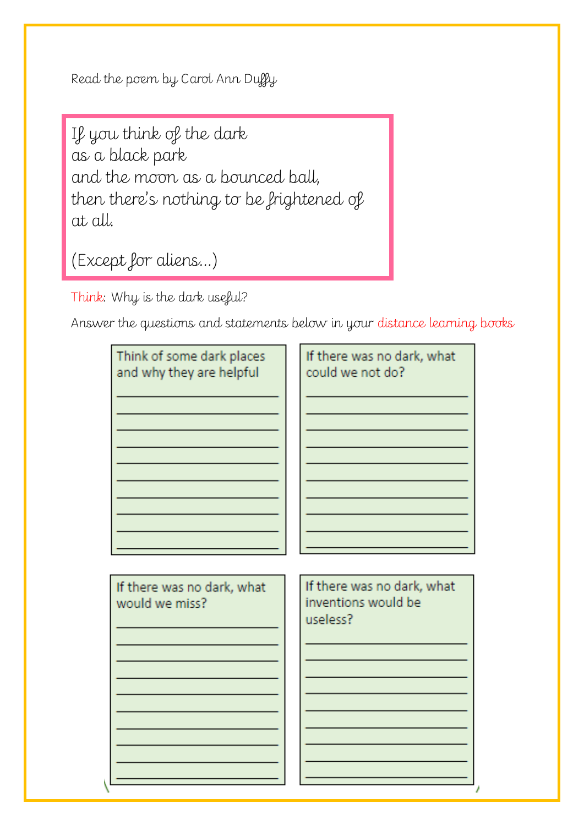Read the poem by Carol Ann Duffy

If you think of the dark as a black park and the moon as a bounced ball, then there's nothing to be frightened of at all.

(Except for aliens…)

Think: Why is the dark useful?

Answer the questions and statements below in your distance learning books

| Think of some dark places                    | If there was no dark, what                                    |
|----------------------------------------------|---------------------------------------------------------------|
| and why they are helpful                     | could we not do?                                              |
| If there was no dark, what<br>would we miss? | If there was no dark, what<br>inventions would be<br>useless? |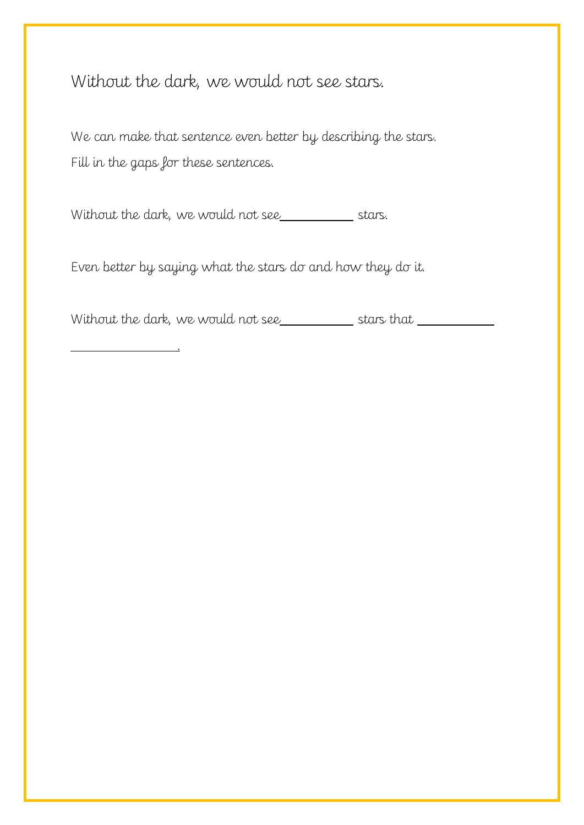Without the dark, we would not see stars.

We can make that sentence even better by describing the stars. Fill in the gaps for these sentences.

Without the dark, we would not see

.

Even better by saying what the stars do and how they do it.

Without the dark, we would not see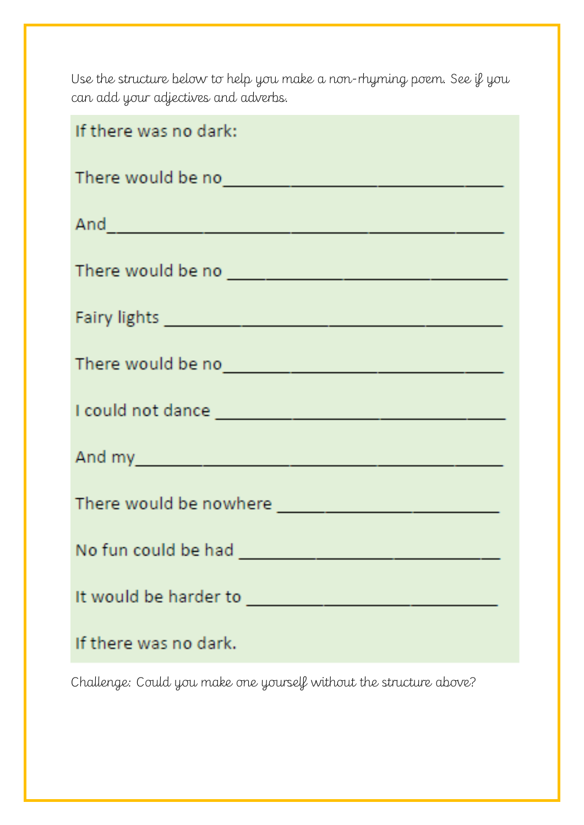Use the structure below to help you make a non-rhyming poem. See if you can add your adjectives and adverbs.

| If there was no dark:                                                                                                                                                                                                                |  |  |
|--------------------------------------------------------------------------------------------------------------------------------------------------------------------------------------------------------------------------------------|--|--|
| There would be now and the contract of the contract of the contract of the contract of the contract of the contract of the contract of the contract of the contract of the contract of the contract of the contract of the con       |  |  |
|                                                                                                                                                                                                                                      |  |  |
|                                                                                                                                                                                                                                      |  |  |
|                                                                                                                                                                                                                                      |  |  |
| There would be no                                                                                                                                                                                                                    |  |  |
|                                                                                                                                                                                                                                      |  |  |
|                                                                                                                                                                                                                                      |  |  |
| There would be nowhere <b>with the contract of the contract of the contract of the contract of the contract of the contract of the contract of the contract of the contract of the contract of the contract of the contract of t</b> |  |  |
| No fun could be had                                                                                                                                                                                                                  |  |  |
| It would be harder to                                                                                                                                                                                                                |  |  |
| If there was no dark.                                                                                                                                                                                                                |  |  |

Challenge: Could you make one yourself without the structure above?